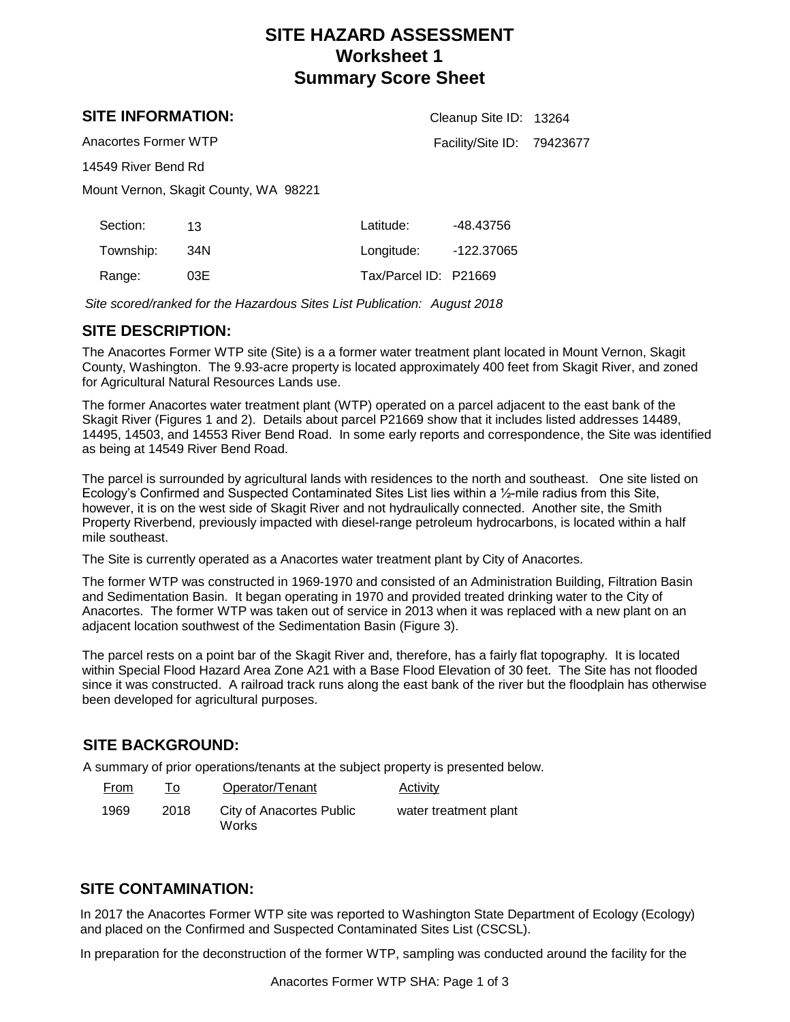## **SITE HAZARD ASSESSMENT Worksheet 1 Summary Score Sheet**

Cleanup Site ID: 13264

Facility/Site ID: 79423677

## **SITE INFORMATION:**

Anacortes Former WTP

14549 River Bend Rd

Mount Vernon, Skagit County, WA 98221

| Section:  | 13.  | Latitude:             | -48.43756  |
|-----------|------|-----------------------|------------|
| Township: | .34N | Longitude:            | -122.37065 |
| Range:    | 03E  | Tax/Parcel ID: P21669 |            |

*Site scored/ranked for the Hazardous Sites List Publication: August 2018*

## **SITE DESCRIPTION:**

The Anacortes Former WTP site (Site) is a a former water treatment plant located in Mount Vernon, Skagit County, Washington. The 9.93-acre property is located approximately 400 feet from Skagit River, and zoned for Agricultural Natural Resources Lands use.

The former Anacortes water treatment plant (WTP) operated on a parcel adjacent to the east bank of the Skagit River (Figures 1 and 2). Details about parcel P21669 show that it includes listed addresses 14489, 14495, 14503, and 14553 River Bend Road. In some early reports and correspondence, the Site was identified as being at 14549 River Bend Road.

The parcel is surrounded by agricultural lands with residences to the north and southeast. One site listed on Ecology's Confirmed and Suspected Contaminated Sites List lies within a ½-mile radius from this Site, however, it is on the west side of Skagit River and not hydraulically connected. Another site, the Smith Property Riverbend, previously impacted with diesel-range petroleum hydrocarbons, is located within a half mile southeast.

The Site is currently operated as a Anacortes water treatment plant by City of Anacortes.

The former WTP was constructed in 1969-1970 and consisted of an Administration Building, Filtration Basin and Sedimentation Basin. It began operating in 1970 and provided treated drinking water to the City of Anacortes. The former WTP was taken out of service in 2013 when it was replaced with a new plant on an adjacent location southwest of the Sedimentation Basin (Figure 3).

The parcel rests on a point bar of the Skagit River and, therefore, has a fairly flat topography. It is located within Special Flood Hazard Area Zone A21 with a Base Flood Elevation of 30 feet. The Site has not flooded since it was constructed. A railroad track runs along the east bank of the river but the floodplain has otherwise been developed for agricultural purposes.

## **SITE BACKGROUND:**

A summary of prior operations/tenants at the subject property is presented below.

| <b>From</b> |      | Operator/Tenant                   | <b>Activity</b>       |
|-------------|------|-----------------------------------|-----------------------|
| 1969        | 2018 | City of Anacortes Public<br>Works | water treatment plant |

## **SITE CONTAMINATION:**

In 2017 the Anacortes Former WTP site was reported to Washington State Department of Ecology (Ecology) and placed on the Confirmed and Suspected Contaminated Sites List (CSCSL).

In preparation for the deconstruction of the former WTP, sampling was conducted around the facility for the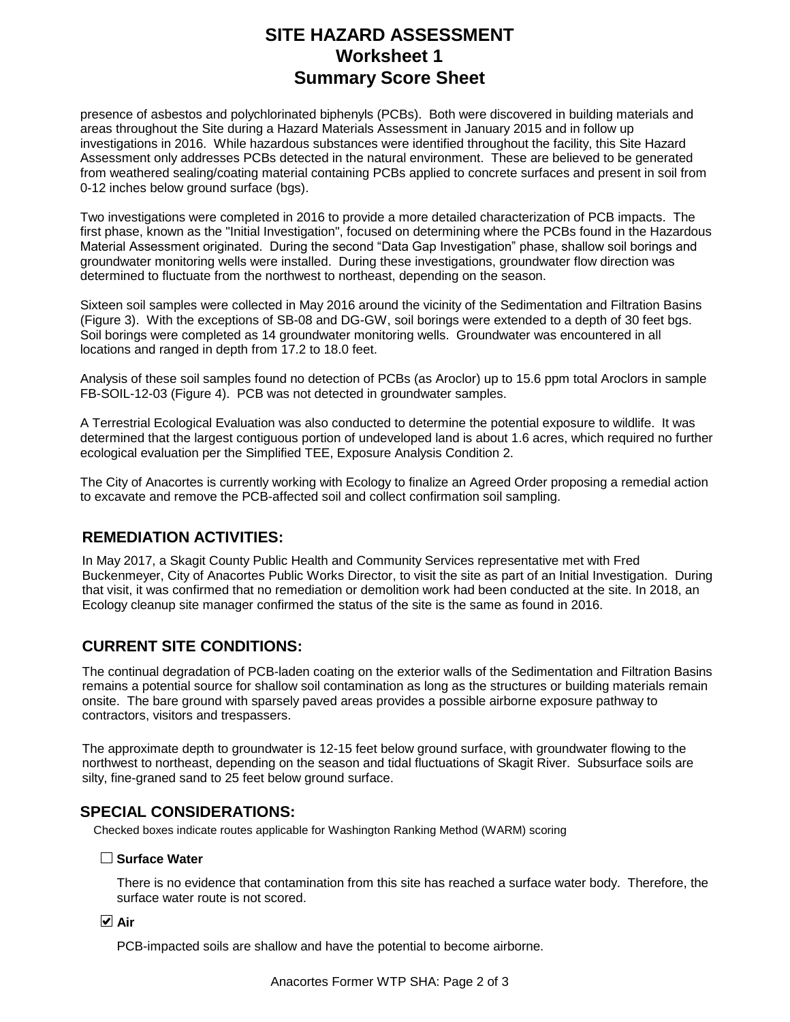## **SITE HAZARD ASSESSMENT Worksheet 1 Summary Score Sheet**

presence of asbestos and polychlorinated biphenyls (PCBs). Both were discovered in building materials and areas throughout the Site during a Hazard Materials Assessment in January 2015 and in follow up investigations in 2016. While hazardous substances were identified throughout the facility, this Site Hazard Assessment only addresses PCBs detected in the natural environment. These are believed to be generated from weathered sealing/coating material containing PCBs applied to concrete surfaces and present in soil from 0-12 inches below ground surface (bgs).

Two investigations were completed in 2016 to provide a more detailed characterization of PCB impacts. The first phase, known as the "Initial Investigation", focused on determining where the PCBs found in the Hazardous Material Assessment originated. During the second "Data Gap Investigation" phase, shallow soil borings and groundwater monitoring wells were installed. During these investigations, groundwater flow direction was determined to fluctuate from the northwest to northeast, depending on the season.

Sixteen soil samples were collected in May 2016 around the vicinity of the Sedimentation and Filtration Basins (Figure 3). With the exceptions of SB-08 and DG-GW, soil borings were extended to a depth of 30 feet bgs. Soil borings were completed as 14 groundwater monitoring wells. Groundwater was encountered in all locations and ranged in depth from 17.2 to 18.0 feet.

Analysis of these soil samples found no detection of PCBs (as Aroclor) up to 15.6 ppm total Aroclors in sample FB-SOIL-12-03 (Figure 4). PCB was not detected in groundwater samples.

A Terrestrial Ecological Evaluation was also conducted to determine the potential exposure to wildlife. It was determined that the largest contiguous portion of undeveloped land is about 1.6 acres, which required no further ecological evaluation per the Simplified TEE, Exposure Analysis Condition 2.

The City of Anacortes is currently working with Ecology to finalize an Agreed Order proposing a remedial action to excavate and remove the PCB-affected soil and collect confirmation soil sampling.

## **REMEDIATION ACTIVITIES:**

In May 2017, a Skagit County Public Health and Community Services representative met with Fred Buckenmeyer, City of Anacortes Public Works Director, to visit the site as part of an Initial Investigation. During that visit, it was confirmed that no remediation or demolition work had been conducted at the site. In 2018, an Ecology cleanup site manager confirmed the status of the site is the same as found in 2016.

## **CURRENT SITE CONDITIONS:**

The continual degradation of PCB-laden coating on the exterior walls of the Sedimentation and Filtration Basins remains a potential source for shallow soil contamination as long as the structures or building materials remain onsite. The bare ground with sparsely paved areas provides a possible airborne exposure pathway to contractors, visitors and trespassers.

The approximate depth to groundwater is 12-15 feet below ground surface, with groundwater flowing to the northwest to northeast, depending on the season and tidal fluctuations of Skagit River. Subsurface soils are silty, fine-graned sand to 25 feet below ground surface.

#### **SPECIAL CONSIDERATIONS:**

Checked boxes indicate routes applicable for Washington Ranking Method (WARM) scoring

#### **Surface Water**

There is no evidence that contamination from this site has reached a surface water body. Therefore, the surface water route is not scored.

#### **Air**

PCB-impacted soils are shallow and have the potential to become airborne.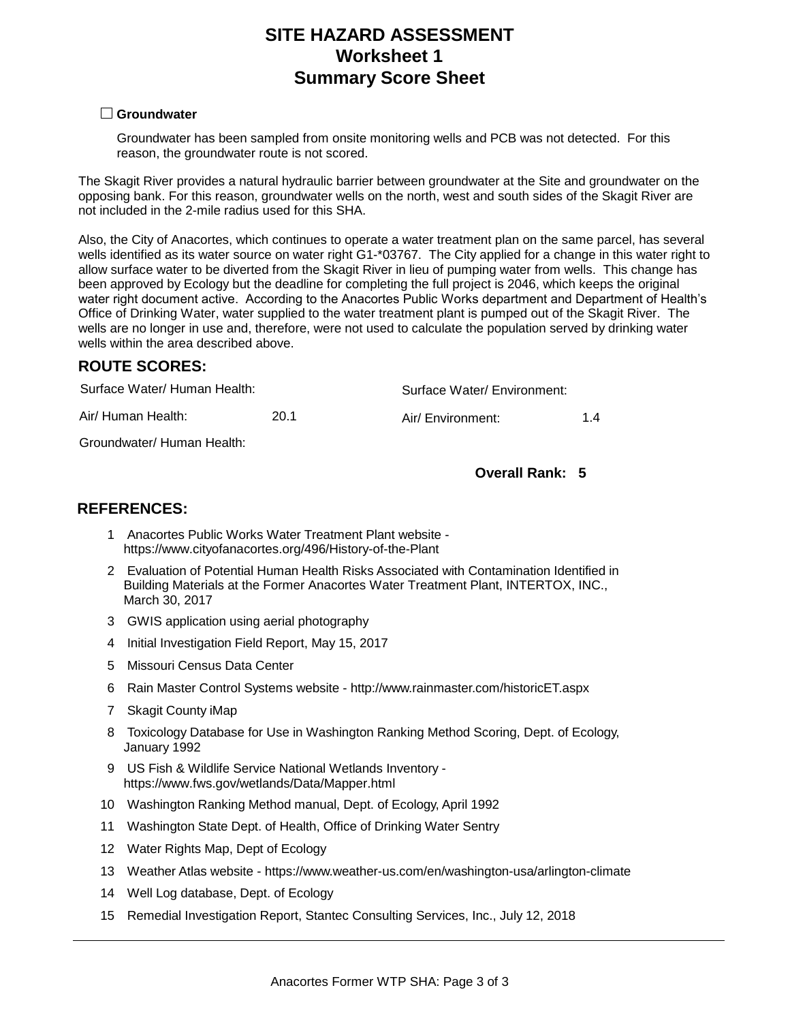## **SITE HAZARD ASSESSMENT Worksheet 1 Summary Score Sheet**

#### **Groundwater**

Groundwater has been sampled from onsite monitoring wells and PCB was not detected. For this reason, the groundwater route is not scored.

The Skagit River provides a natural hydraulic barrier between groundwater at the Site and groundwater on the opposing bank. For this reason, groundwater wells on the north, west and south sides of the Skagit River are not included in the 2-mile radius used for this SHA.

Also, the City of Anacortes, which continues to operate a water treatment plan on the same parcel, has several wells identified as its water source on water right G1-\*03767. The City applied for a change in this water right to allow surface water to be diverted from the Skagit River in lieu of pumping water from wells. This change has been approved by Ecology but the deadline for completing the full project is 2046, which keeps the original water right document active. According to the Anacortes Public Works department and Department of Health's Office of Drinking Water, water supplied to the water treatment plant is pumped out of the Skagit River. The wells are no longer in use and, therefore, were not used to calculate the population served by drinking water wells within the area described above.

#### **ROUTE SCORES:**

| Surface Water/ Human Health: |      | Surface Water/ Environment: |  |  |
|------------------------------|------|-----------------------------|--|--|
| Air/ Human Health:           | 20.1 | Air/ Environment:           |  |  |

Groundwater/ Human Health:

#### **Overall Rank: 5**

#### **REFERENCES:**

- Anacortes Public Works Water Treatment Plant website 1 https://www.cityofanacortes.org/496/History-of-the-Plant
- 2 Evaluation of Potential Human Health Risks Associated with Contamination Identified in Building Materials at the Former Anacortes Water Treatment Plant, INTERTOX, INC., March 30, 2017
- 3 GWIS application using aerial photography
- 4 Initial Investigation Field Report, May 15, 2017
- 5 Missouri Census Data Center
- 6 Rain Master Control Systems website http://www.rainmaster.com/historicET.aspx
- 7 Skagit County iMap
- Toxicology Database for Use in Washington Ranking Method Scoring, Dept. of Ecology, 8 January 1992
- US Fish & Wildlife Service National Wetlands Inventory 9 https://www.fws.gov/wetlands/Data/Mapper.html
- 10 Washington Ranking Method manual, Dept. of Ecology, April 1992
- 11 Washington State Dept. of Health, Office of Drinking Water Sentry
- 12 Water Rights Map, Dept of Ecology
- 13 Weather Atlas website https://www.weather-us.com/en/washington-usa/arlington-climate
- 14 Well Log database, Dept. of Ecology
- 15 Remedial Investigation Report, Stantec Consulting Services, Inc., July 12, 2018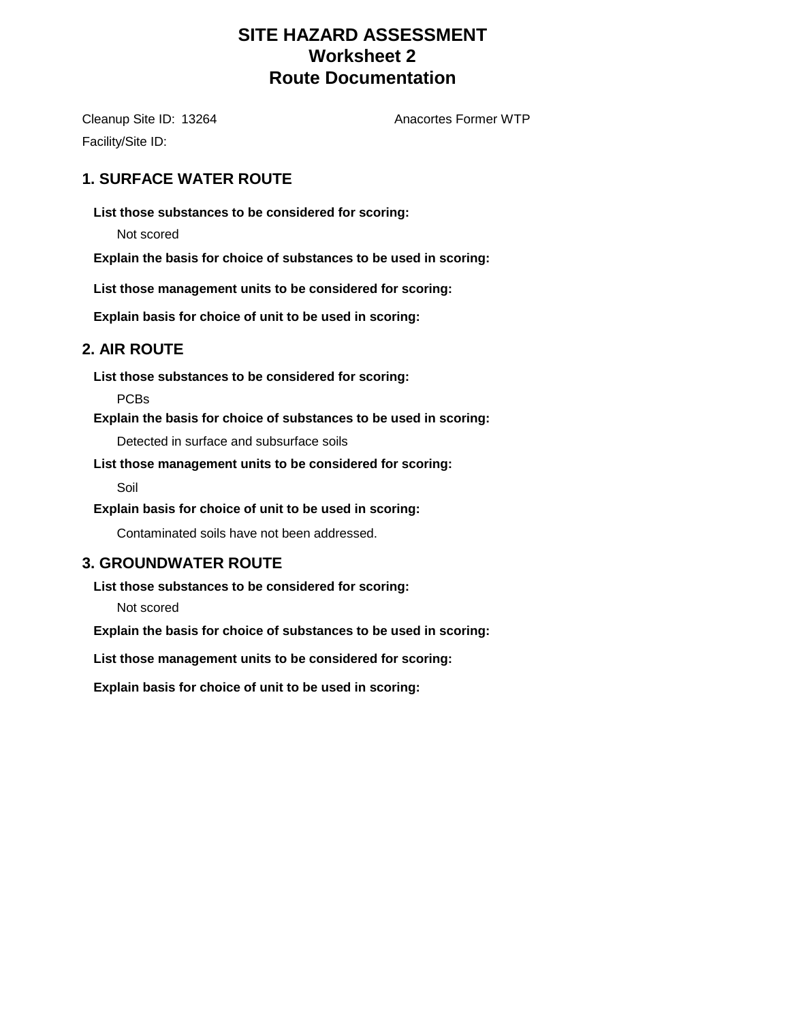## **SITE HAZARD ASSESSMENT Worksheet 2 Route Documentation**

Cleanup Site ID: 13264 Anacortes Former WTP Facility/Site ID:

## **1. SURFACE WATER ROUTE**

**List those substances to be considered for scoring:**

Not scored

**Explain the basis for choice of substances to be used in scoring:**

**List those management units to be considered for scoring:**

**Explain basis for choice of unit to be used in scoring:**

## **2. AIR ROUTE**

**List those substances to be considered for scoring:**

PCBs

**Explain the basis for choice of substances to be used in scoring:**

Detected in surface and subsurface soils

**List those management units to be considered for scoring:**

Soil

**Explain basis for choice of unit to be used in scoring:**

Contaminated soils have not been addressed.

## **3. GROUNDWATER ROUTE**

**List those substances to be considered for scoring:**

Not scored

**Explain the basis for choice of substances to be used in scoring:**

**List those management units to be considered for scoring:**

**Explain basis for choice of unit to be used in scoring:**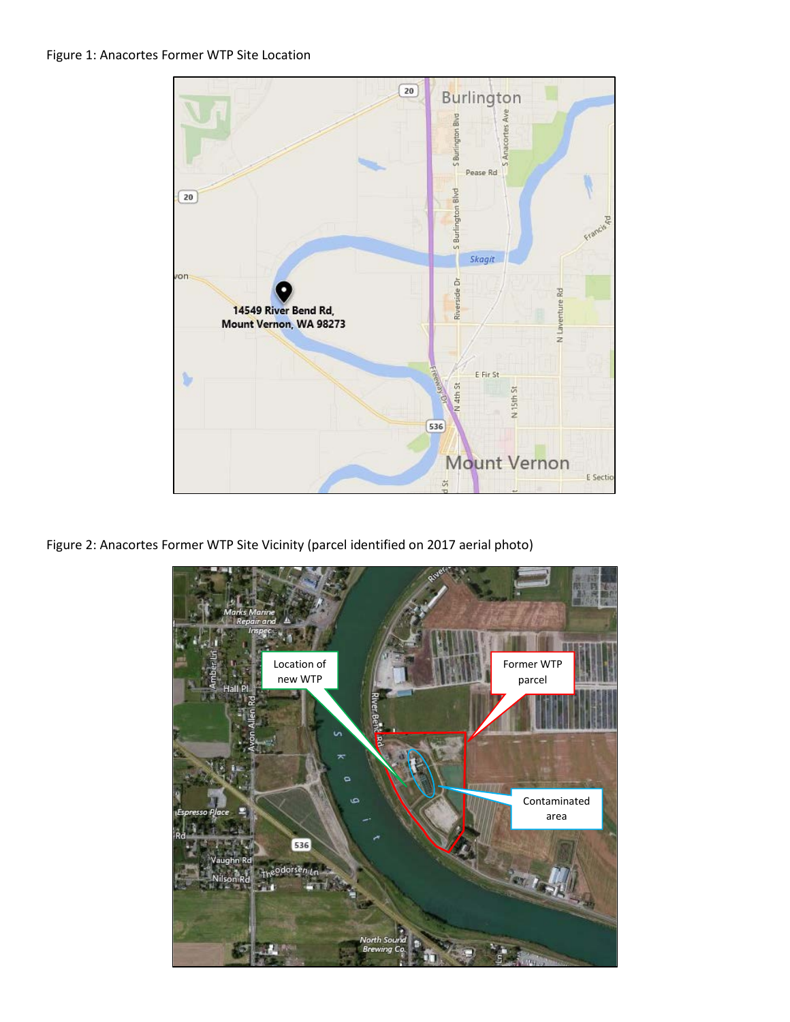

Figure 2: Anacortes Former WTP Site Vicinity (parcel identified on 2017 aerial photo)

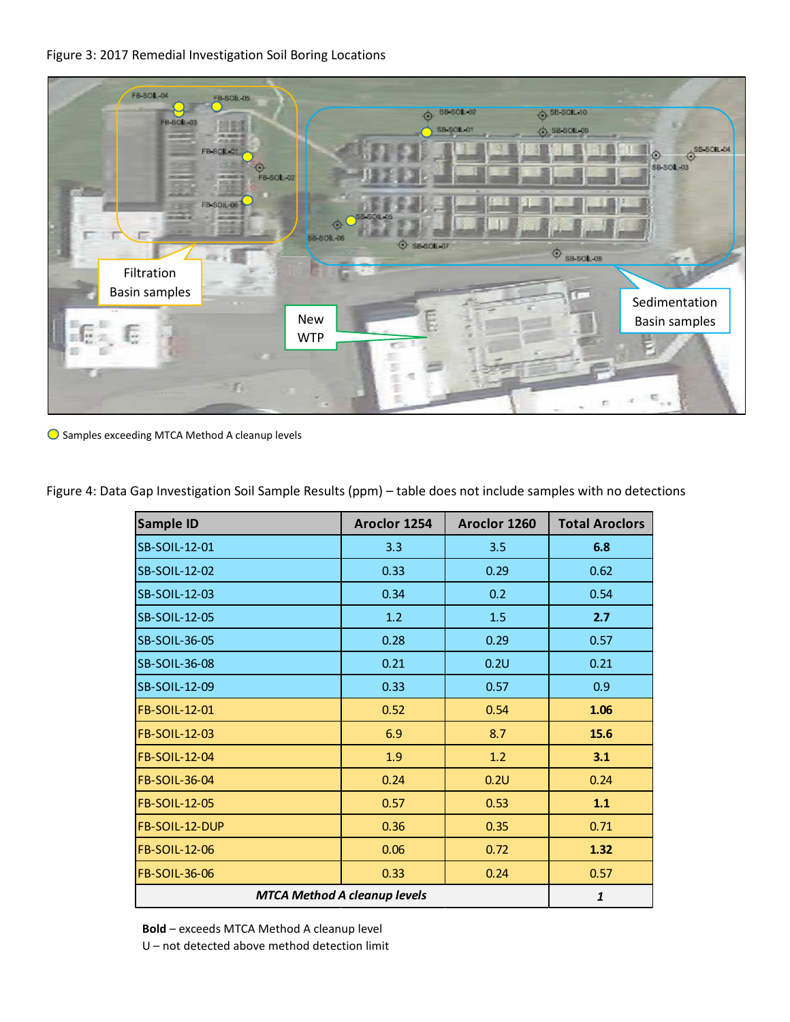#### Figure 3: 2017 Remedial Investigation Soil Boring Locations



Samples exceeding MTCA Method A cleanup levels

| Sample ID                           | Aroclor 1254 | Aroclor 1260 | <b>Total Aroclors</b> |
|-------------------------------------|--------------|--------------|-----------------------|
| SB-SOIL-12-01                       | 3.3          | 3.5          | 6.8                   |
| SB-SOIL-12-02                       | 0.33         | 0.29         | 0.62                  |
| SB-SOIL-12-03                       | 0.34         | 0.2          | 0.54                  |
| SB-SOIL-12-05                       | 1.2          | 1.5          | 2.7                   |
| SB-SOIL-36-05                       | 0.28         | 0.29         | 0.57                  |
| SB-SOIL-36-08                       | 0.21         | 0.2U         | 0.21                  |
| SB-SOIL-12-09                       | 0.33         | 0.57         | 0.9                   |
| FB-SOIL-12-01                       | 0.52         | 0.54         | 1.06                  |
| FB-SOIL-12-03                       | 6.9          | 8.7          | 15.6                  |
| FB-SOIL-12-04                       | 1.9          | 1.2          | 3.1                   |
| FB-SOIL-36-04                       | 0.24         | 0.2U         | 0.24                  |
| FB-SOIL-12-05                       | 0.57         | 0.53         | 1.1                   |
| FB-SOIL-12-DUP                      | 0.36         | 0.35         | 0.71                  |
| FB-SOIL-12-06                       | 0.06         | 0.72         | 1.32                  |
| FB-SOIL-36-06                       | 0.33         | 0.24         | 0.57                  |
| <b>MTCA Method A cleanup levels</b> | $\mathbf{1}$ |              |                       |

Figure 4: Data Gap Investigation Soil Sample Results (ppm) – table does not include samples with no detections

 **Bold** – exceeds MTCA Method A cleanup level

U – not detected above method detection limit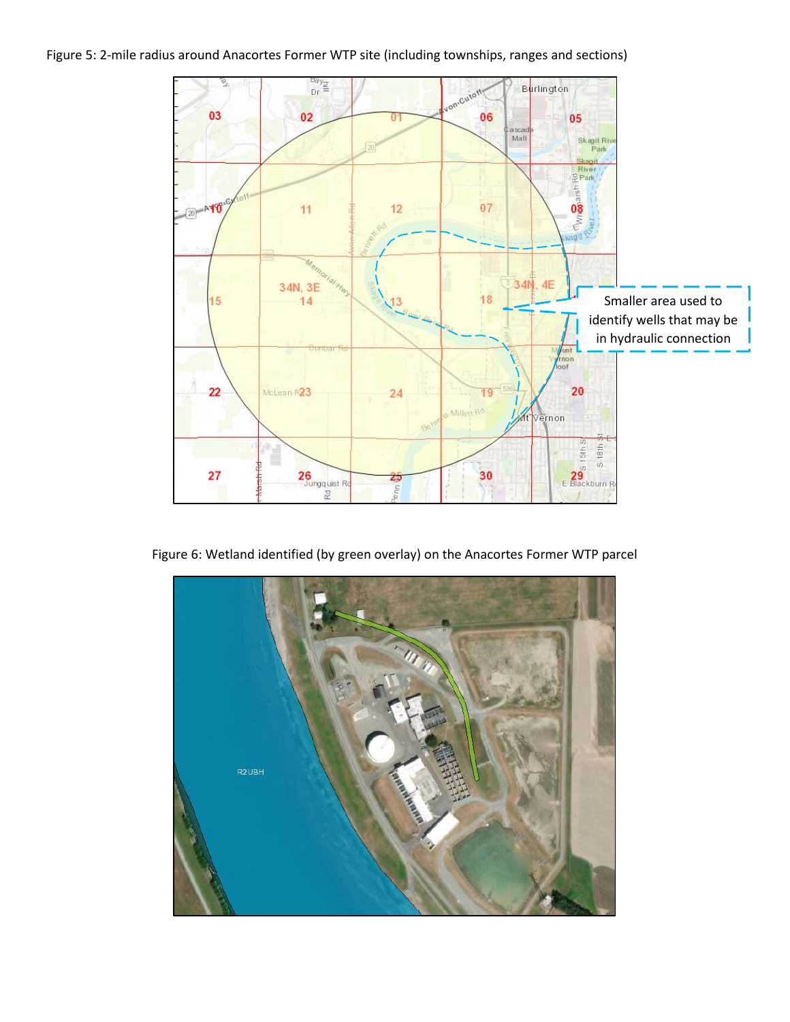#### Figure 5: 2-mile radius around Anacortes Former WTP site (including townships, ranges and sections)



Figure 6: Wetland identified (by green overlay) on the Anacortes Former WTP parcel

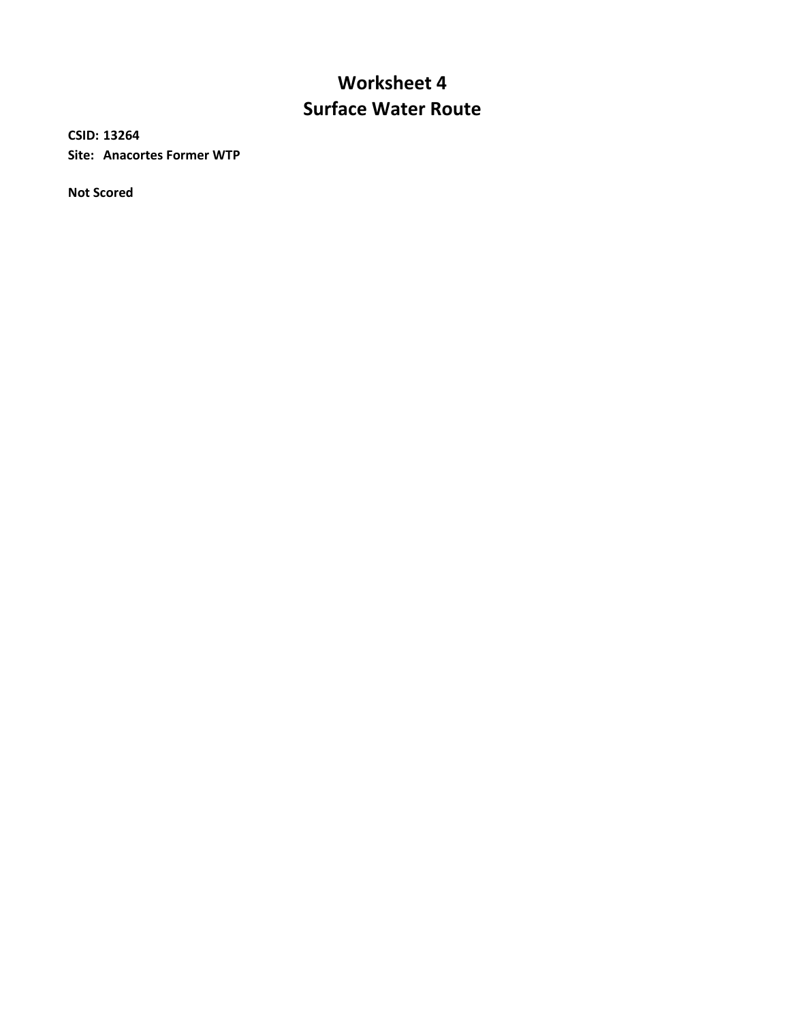# **Surface Water Route Worksheet 4**

**CSID: 13264 Site: Anacortes Former WTP**

**Not Scored**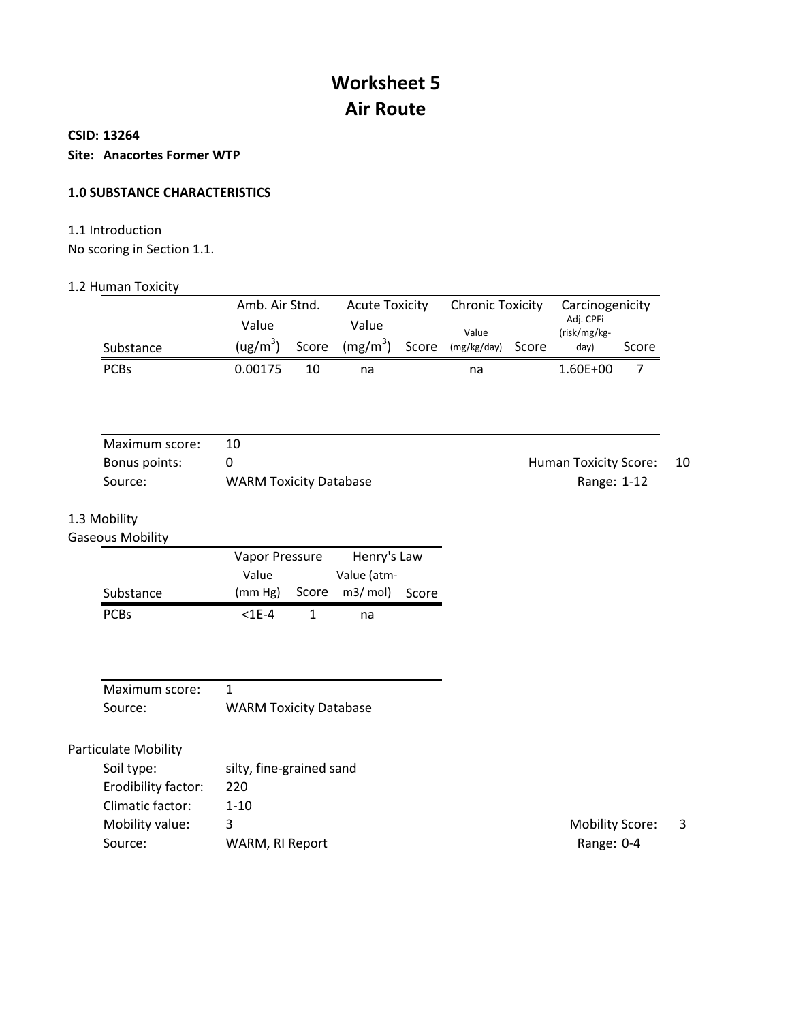# **Worksheet 5 Air Route**

#### **CSID: 13264**

**Site: Anacortes Former WTP**

#### **1.0 SUBSTANCE CHARACTERISTICS**

# 1.1 Introduction

No scoring in Section 1.1.

#### 1.2 Human Toxicity

|             | Amb. Air Stnd.       |    | <b>Acute Toxicity</b>            |  | <b>Chronic Toxicity</b> |  | Carcinogenicity           |       |
|-------------|----------------------|----|----------------------------------|--|-------------------------|--|---------------------------|-------|
|             | Value                |    | Value                            |  | Value                   |  | Adj. CPFi<br>(risk/mg/kg- |       |
| Substance   | (ug/m <sup>3</sup> ) |    | Score (mg/m <sup>3</sup> ) Score |  | (mg/kg/day) Score       |  | day)                      | Score |
| <b>PCBs</b> | 0.00175              | 10 | na                               |  | na                      |  | $1.60E + 00$              |       |

| Maximum score: |                               |                       |     |
|----------------|-------------------------------|-----------------------|-----|
| Bonus points:  |                               | Human Toxicity Score: | -10 |
| Source:        | <b>WARM Toxicity Database</b> | Range: 1-12           |     |

## 1.3 Mobility

Gaseous Mobility

| <b>JUUJ IVIUDIIILY</b> |                |  |               |       |
|------------------------|----------------|--|---------------|-------|
|                        | Vapor Pressure |  | Henry's Law   |       |
|                        | Value          |  | Value (atm-   |       |
| Substance              | (mm Hg)        |  | Score m3/mol) | Score |
| <b>PCBs</b>            | $<$ 1F-4       |  | na            |       |

| Maximum score: |                               |
|----------------|-------------------------------|
| Source:        | <b>WARM Toxicity Database</b> |

| silty, fine-grained sand |
|--------------------------|
| 220                      |
| 1-10                     |
| 3                        |
| WARM, RI Report          |
|                          |

Mobility Score: 3 Range: 0-4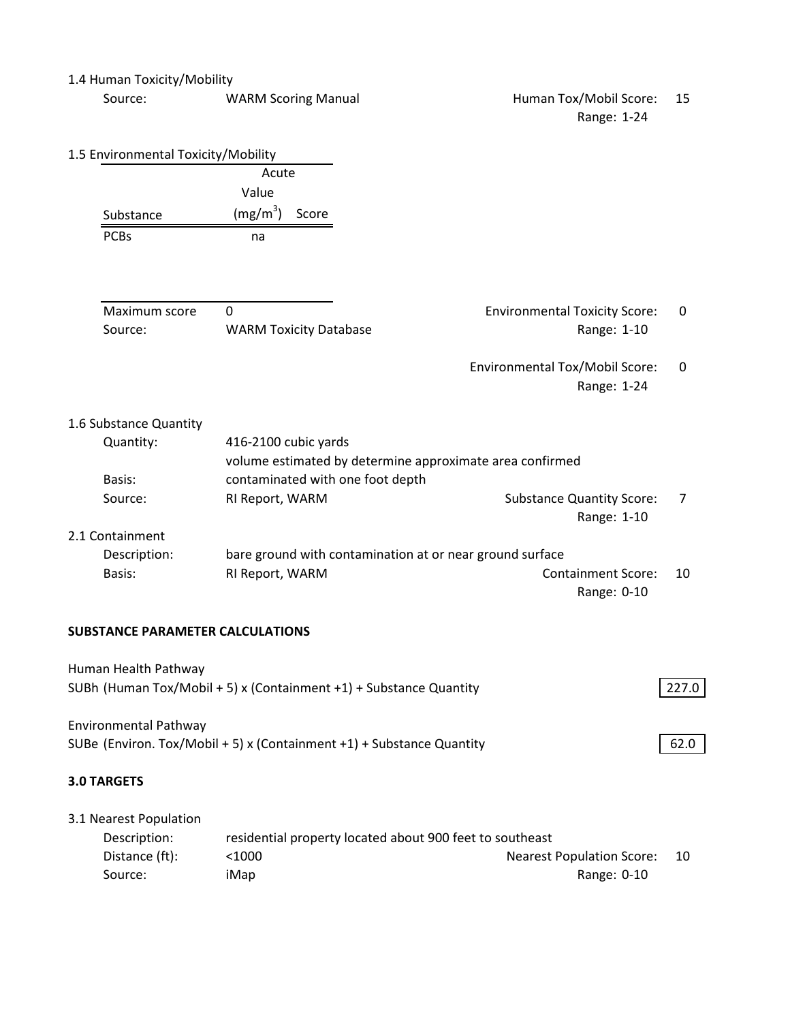#### 1.4 Human Toxicity/Mobility

| Source: | <b>WARM Scoring Manual</b> |
|---------|----------------------------|
|---------|----------------------------|

## Human Tox/Mobil Score: 15 Range: 1-24

| 1.5 Environmental Toxicity/Mobility     |                               |                                  |                                                          |                |
|-----------------------------------------|-------------------------------|----------------------------------|----------------------------------------------------------|----------------|
|                                         | Acute                         |                                  |                                                          |                |
|                                         | Value                         |                                  |                                                          |                |
| Substance                               | (mg/m <sup>3</sup> )<br>Score |                                  |                                                          |                |
| <b>PCBs</b>                             | na                            |                                  |                                                          |                |
| Maximum score                           | $\mathbf 0$                   |                                  | <b>Environmental Toxicity Score:</b>                     | 0              |
| Source:                                 | <b>WARM Toxicity Database</b> |                                  | Range: 1-10                                              |                |
|                                         |                               |                                  | Environmental Tox/Mobil Score:<br>Range: 1-24            | 0              |
| 1.6 Substance Quantity                  |                               |                                  |                                                          |                |
| Quantity:                               | 416-2100 cubic yards          |                                  |                                                          |                |
|                                         |                               |                                  | volume estimated by determine approximate area confirmed |                |
| Basis:                                  |                               | contaminated with one foot depth |                                                          |                |
| Source:                                 | RI Report, WARM               |                                  | <b>Substance Quantity Score:</b><br>Range: 1-10          | $\overline{7}$ |
| 2.1 Containment                         |                               |                                  |                                                          |                |
| Description:                            |                               |                                  | bare ground with contamination at or near ground surface |                |
| Basis:                                  | RI Report, WARM               |                                  | <b>Containment Score:</b>                                | 10             |
|                                         |                               |                                  | Range: 0-10                                              |                |
| <b>SUBSTANCE PARAMETER CALCULATIONS</b> |                               |                                  |                                                          |                |
| Human Health Pathway                    |                               |                                  |                                                          |                |

| 62.0  |
|-------|
| 227.0 |
|       |

| 3.1 Nearest Population |                                                          |                                  |     |
|------------------------|----------------------------------------------------------|----------------------------------|-----|
| Description:           | residential property located about 900 feet to southeast |                                  |     |
| Distance (ft):         | $<$ 1000                                                 | <b>Nearest Population Score:</b> | -10 |
| Source:                | iMap                                                     | Range: 0-10                      |     |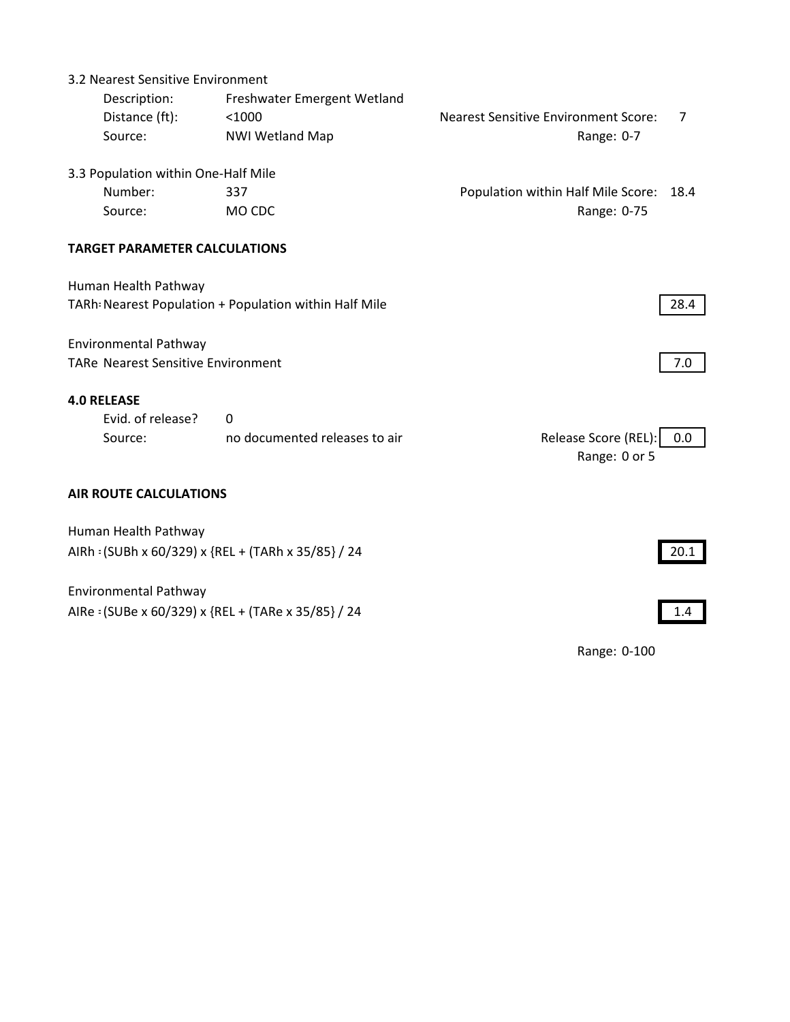| 3.2 Nearest Sensitive Environment         |                                                        |                                             |      |
|-------------------------------------------|--------------------------------------------------------|---------------------------------------------|------|
| Description:                              | Freshwater Emergent Wetland                            |                                             |      |
| Distance (ft):                            | < 1000                                                 | <b>Nearest Sensitive Environment Score:</b> | 7    |
| Source:                                   | <b>NWI Wetland Map</b>                                 | Range: 0-7                                  |      |
| 3.3 Population within One-Half Mile       |                                                        |                                             |      |
| Number:                                   | 337                                                    | Population within Half Mile Score:          | 18.4 |
| Source:                                   | MO CDC                                                 | Range: 0-75                                 |      |
| <b>TARGET PARAMETER CALCULATIONS</b>      |                                                        |                                             |      |
| Human Health Pathway                      |                                                        |                                             |      |
|                                           | TARh: Nearest Population + Population within Half Mile |                                             | 28.4 |
| <b>Environmental Pathway</b>              |                                                        |                                             |      |
| <b>TARe Nearest Sensitive Environment</b> |                                                        |                                             | 7.0  |
| <b>4.0 RELEASE</b>                        |                                                        |                                             |      |
| Evid. of release?                         | 0                                                      |                                             |      |
| Source:                                   | no documented releases to air                          | Release Score (REL):<br>Range: 0 or 5       | 0.0  |
| <b>AIR ROUTE CALCULATIONS</b>             |                                                        |                                             |      |
| Human Health Pathway                      |                                                        |                                             |      |
|                                           | AIRh: (SUBh x 60/329) x {REL + (TARh x 35/85} / 24     |                                             | 20.1 |
| <b>Environmental Pathway</b>              |                                                        |                                             |      |
|                                           | AIRe: (SUBe x 60/329) x {REL + (TARe x 35/85} / 24     |                                             | 1.4  |
|                                           |                                                        | Range: 0-100                                |      |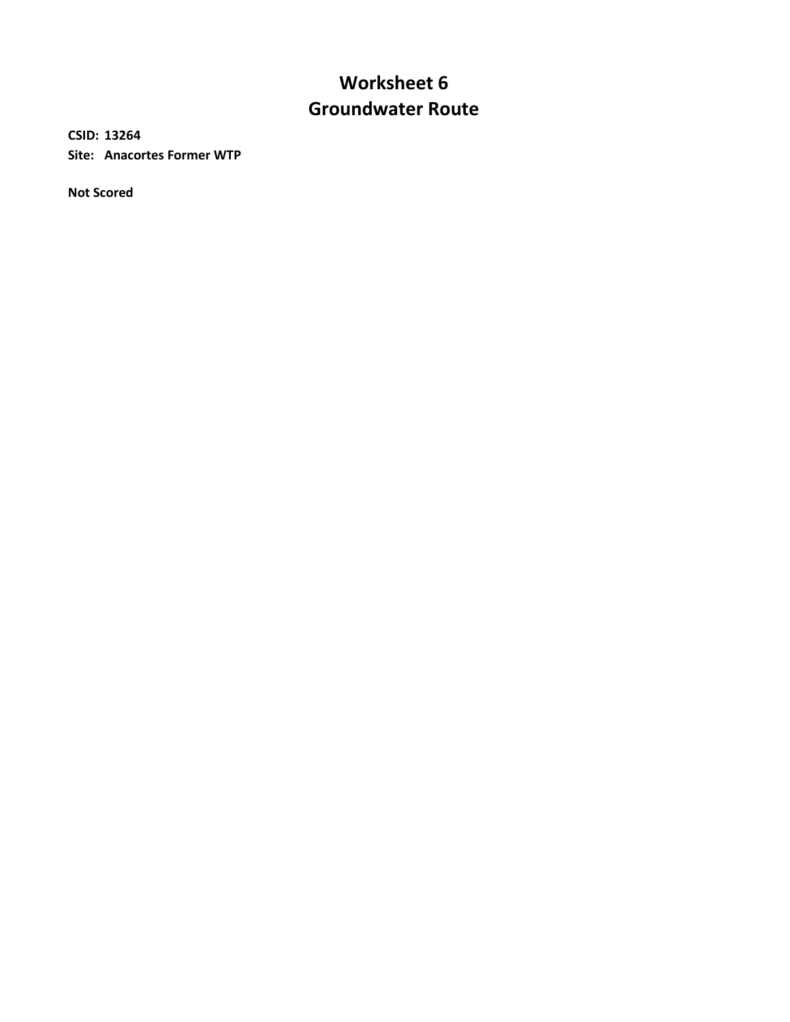# **Worksheet 6 Groundwater Route**

**CSID: 13264 Site: Anacortes Former WTP**

**Not Scored**